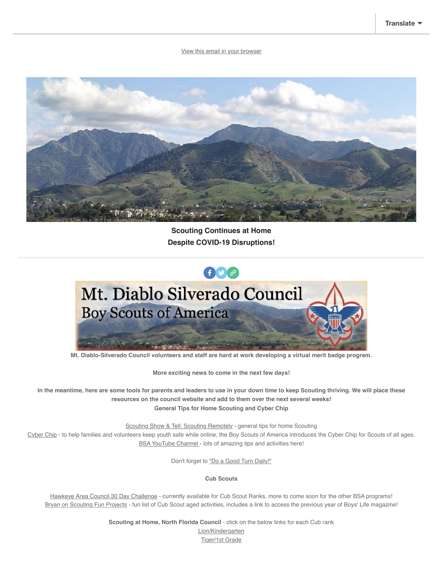[View this email in your browser](https://mailchi.mp/6bc7dc597854/muir-district-newsletter-april-2708682?e=%5BUNIQID%5D)



**Scouting Continues at Home Despite COVID-19 Disruptions!**



**Mt. Diablo-Silverado Council volunteers and staff are hard at work developing a virtual merit badge program.**

**More exciting news to come in the next few days!**

**In the meantime, here are some tools for parents and leaders to use in your down time to keep Scouting thriving. We will place these resources on the council website and add to them over the next several weeks! General Tips for Home Scouting and Cyber Chip**

[Scouting Show & Tell: Scouting Remotely](https://mdscbsa.us7.list-manage.com/track/click?u=8b3216ade7849c052ad8c96f2&id=6443e8895b&e=d92beba0a5) - general tips for home Scouting

[Cyber Chip](https://mdscbsa.us7.list-manage.com/track/click?u=8b3216ade7849c052ad8c96f2&id=90a3cad518&e=d92beba0a5) - to help families and volunteers keep youth safe while online, the Boy Scouts of America introduces the Cyber Chip for Scouts of all ages. [BSA YouTube Channel](https://mdscbsa.us7.list-manage.com/track/click?u=8b3216ade7849c052ad8c96f2&id=e55487ef01&e=d92beba0a5) - lots of amazing tips and activities here!

Don't forget to ["Do a Good Turn Daily!"](https://mdscbsa.us7.list-manage.com/track/click?u=8b3216ade7849c052ad8c96f2&id=ac5e696aec&e=d92beba0a5)

**Cub Scouts**

[Hawkeye Area Council 30 Day Challenge](https://mdscbsa.us7.list-manage.com/track/click?u=8b3216ade7849c052ad8c96f2&id=f6af4a9e96&e=d92beba0a5) - currently available for Cub Scout Ranks, more to come soon for the other BSA programs! [Bryan on Scouting Fun Projects](https://mdscbsa.us7.list-manage.com/track/click?u=8b3216ade7849c052ad8c96f2&id=2fa3076633&e=d92beba0a5) - fun list of Cub Scout aged activities, includes a link to access the previous year of Boys' Life magazine!

**Scouting at Home, North Florida Council - click on the below links for each Cub rank** 

[Lion/Kindergarten](https://mdscbsa.us7.list-manage.com/track/click?u=8b3216ade7849c052ad8c96f2&id=404a3988db&e=d92beba0a5) [Tiger/1st Grade](https://mdscbsa.us7.list-manage.com/track/click?u=8b3216ade7849c052ad8c96f2&id=33500e69a6&e=d92beba0a5)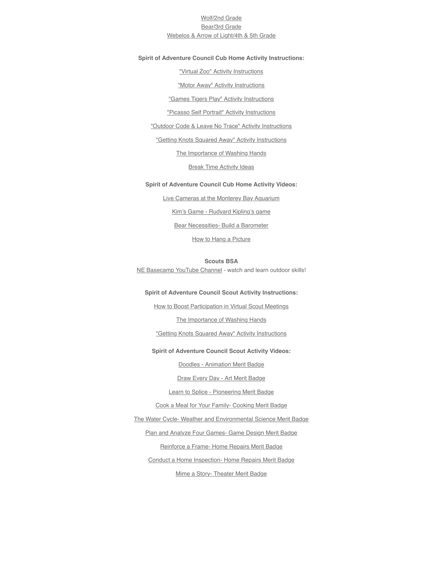# [Wolf/2nd Grade](https://mdscbsa.us7.list-manage.com/track/click?u=8b3216ade7849c052ad8c96f2&id=57cdde6716&e=d92beba0a5) [Bear/3rd Grade](https://mdscbsa.us7.list-manage.com/track/click?u=8b3216ade7849c052ad8c96f2&id=c80581237d&e=d92beba0a5) [Webelos & Arrow of Light/4th & 5th Grade](https://mdscbsa.us7.list-manage.com/track/click?u=8b3216ade7849c052ad8c96f2&id=03076cb46e&e=d92beba0a5)

#### **Spirit of Adventure Council Cub Home Activity Instructions:**

["Virtual Zoo" Activity Instructions](https://mdscbsa.us7.list-manage.com/track/click?u=8b3216ade7849c052ad8c96f2&id=b5f7af1732&e=d92beba0a5)

["Motor Away" Activity Instructions](https://mdscbsa.us7.list-manage.com/track/click?u=8b3216ade7849c052ad8c96f2&id=cfe8f7742b&e=d92beba0a5)

["Games Tigers Play" Activity Instructions](https://mdscbsa.us7.list-manage.com/track/click?u=8b3216ade7849c052ad8c96f2&id=93f3db417f&e=d92beba0a5)

["Picasso Self Portrait" Activity Instructions](https://mdscbsa.us7.list-manage.com/track/click?u=8b3216ade7849c052ad8c96f2&id=6fc4b21169&e=d92beba0a5)

["Outdoor Code & Leave No Trace" Activity Instructions](https://mdscbsa.us7.list-manage.com/track/click?u=8b3216ade7849c052ad8c96f2&id=b132a97ceb&e=d92beba0a5)

["Getting Knots Squared Away" Activity Instructions](https://mdscbsa.us7.list-manage.com/track/click?u=8b3216ade7849c052ad8c96f2&id=40733a3322&e=d92beba0a5)

[The Importance of Washing Hands](https://mdscbsa.us7.list-manage.com/track/click?u=8b3216ade7849c052ad8c96f2&id=6bcb71762e&e=d92beba0a5)

**[Break Time Activity Ideas](https://mdscbsa.us7.list-manage.com/track/click?u=8b3216ade7849c052ad8c96f2&id=bebea76754&e=d92beba0a5)** 

#### **Spirit of Adventure Council Cub Home Activity Videos:**

[Live Cameras at the Monterey Bay Aquarium](https://mdscbsa.us7.list-manage.com/track/click?u=8b3216ade7849c052ad8c96f2&id=c21171df27&e=d92beba0a5) [Kim's Game - Rudyard Kipling's game](https://mdscbsa.us7.list-manage.com/track/click?u=8b3216ade7849c052ad8c96f2&id=a2d39cd802&e=d92beba0a5) [Bear Necessities- Build a Barometer](https://mdscbsa.us7.list-manage.com/track/click?u=8b3216ade7849c052ad8c96f2&id=66114a1250&e=d92beba0a5) [How to Hang a Picture](https://mdscbsa.us7.list-manage.com/track/click?u=8b3216ade7849c052ad8c96f2&id=8ebd74952c&e=d92beba0a5)

**Scouts BSA** [NE Basecamp YouTube Channel](https://mdscbsa.us7.list-manage.com/track/click?u=8b3216ade7849c052ad8c96f2&id=91595f60c6&e=d92beba0a5) - watch and learn outdoor skills!

#### **Spirit of Adventure Council Scout Activity Instructions:**

[How to Boost Participation in Virtual Scout Meetings](https://mdscbsa.us7.list-manage.com/track/click?u=8b3216ade7849c052ad8c96f2&id=8166472a8c&e=d92beba0a5)

[The Importance of Washing Hands](https://mdscbsa.us7.list-manage.com/track/click?u=8b3216ade7849c052ad8c96f2&id=308ed7dddd&e=d92beba0a5)

["Getting Knots Squared Away" Activity Instructions](https://mdscbsa.us7.list-manage.com/track/click?u=8b3216ade7849c052ad8c96f2&id=91b66dd42e&e=d92beba0a5)

## **Spirit of Adventure Council Scout Activity Videos:**

[Doodles - Animation Merit Badge](https://mdscbsa.us7.list-manage.com/track/click?u=8b3216ade7849c052ad8c96f2&id=24fc4bc932&e=d92beba0a5)

[Draw Every Day - Art Merit Badge](https://mdscbsa.us7.list-manage.com/track/click?u=8b3216ade7849c052ad8c96f2&id=58f86c1873&e=d92beba0a5)

[Learn to Splice - Pioneering Merit Badge](https://mdscbsa.us7.list-manage.com/track/click?u=8b3216ade7849c052ad8c96f2&id=65a74abd72&e=d92beba0a5)

[Cook a Meal for Your Family- Cooking Merit Badge](https://mdscbsa.us7.list-manage.com/track/click?u=8b3216ade7849c052ad8c96f2&id=6f9a031c7f&e=d92beba0a5)

[The Water Cycle- Weather and Environmental Science Merit Badge](https://mdscbsa.us7.list-manage.com/track/click?u=8b3216ade7849c052ad8c96f2&id=8e1e2a738f&e=d92beba0a5)

[Plan and Analyze Four Games- Game Design Merit Badge](https://mdscbsa.us7.list-manage.com/track/click?u=8b3216ade7849c052ad8c96f2&id=82bf0a3da1&e=d92beba0a5)

[Reinforce a Frame- Home Repairs Merit Badge](https://mdscbsa.us7.list-manage.com/track/click?u=8b3216ade7849c052ad8c96f2&id=2cdeb5a0f0&e=d92beba0a5)

[Conduct a Home Inspection- Home Repairs Merit Badge](https://mdscbsa.us7.list-manage.com/track/click?u=8b3216ade7849c052ad8c96f2&id=0bbd98ae07&e=d92beba0a5)

[Mime a Story- Theater Merit Badge](https://mdscbsa.us7.list-manage.com/track/click?u=8b3216ade7849c052ad8c96f2&id=845888a312&e=d92beba0a5)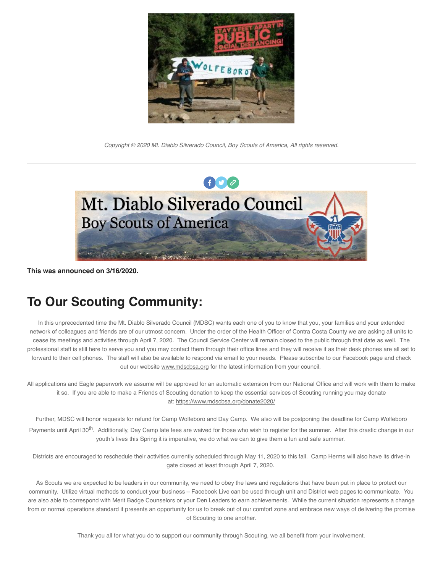

*Copyright © 2020 Mt. Diablo Silverado Council, Boy Scouts of America, All rights reserved.*



**This was announced on 3/16/2020.**

# **To Our Scouting Community:**

In this unprecedented time the Mt. Diablo Silverado Council (MDSC) wants each one of you to know that you, your families and your extended network of colleagues and friends are of our utmost concern. Under the order of the Health Officer of Contra Costa County we are asking all units to cease its meetings and activities through April 7, 2020. The Council Service Center will remain closed to the public through that date as well. The professional staff is still here to serve you and you may contact them through their office lines and they will receive it as their desk phones are all set to forward to their cell phones. The staff will also be available to respond via email to your needs. Please subscribe to our Facebook page and check out our website [www.mdscbsa.org](https://mdscbsa.us7.list-manage.com/track/click?u=8b3216ade7849c052ad8c96f2&id=7a9c0017af&e=d92beba0a5) for the latest information from your council.

All applications and Eagle paperwork we assume will be approved for an automatic extension from our National Office and will work with them to make it so. If you are able to make a Friends of Scouting donation to keep the essential services of Scouting running you may donate at: [https://www.mdscbsa.org/donate2020/](https://mdscbsa.us7.list-manage.com/track/click?u=8b3216ade7849c052ad8c96f2&id=18965df3a9&e=d92beba0a5)

Further, MDSC will honor requests for refund for Camp Wolfeboro and Day Camp. We also will be postponing the deadline for Camp Wolfeboro Payments until April 30<sup>th</sup>. Additionally, Day Camp late fees are waived for those who wish to register for the summer. After this drastic change in our youth's lives this Spring it is imperative, we do what we can to give them a fun and safe summer.

Districts are encouraged to reschedule their activities currently scheduled through May 11, 2020 to this fall. Camp Herms will also have its drive-in gate closed at least through April 7, 2020.

As Scouts we are expected to be leaders in our community, we need to obey the laws and regulations that have been put in place to protect our community. Utilize virtual methods to conduct your business – Facebook Live can be used through unit and District web pages to communicate. You are also able to correspond with Merit Badge Counselors or your Den Leaders to earn achievements. While the current situation represents a change from or normal operations standard it presents an opportunity for us to break out of our comfort zone and embrace new ways of delivering the promise of Scouting to one another.

Thank you all for what you do to support our community through Scouting, we all benefit from your involvement.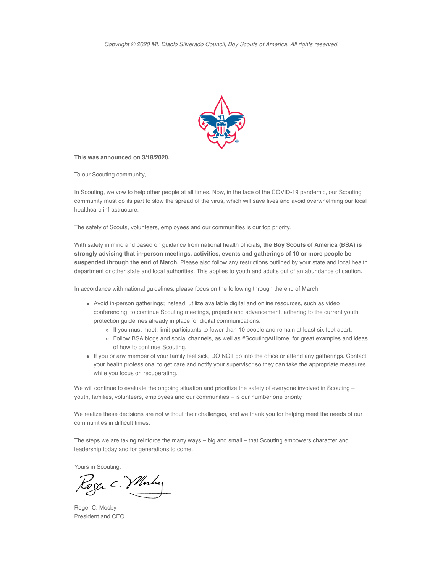

**This was announced on 3/18/2020.**

To our Scouting community,

In Scouting, we vow to help other people at all times. Now, in the face of the COVID-19 pandemic, our Scouting community must do its part to slow the spread of the virus, which will save lives and avoid overwhelming our local healthcare infrastructure.

The safety of Scouts, volunteers, employees and our communities is our top priority.

With safety in mind and based on guidance from national health officials, **the Boy Scouts of America (BSA) is strongly advising that in-person meetings, activities, events and gatherings of 10 or more people be suspended through the end of March.** Please also follow any restrictions outlined by your state and local health department or other state and local authorities. This applies to youth and adults out of an abundance of caution.

In accordance with national guidelines, please focus on the following through the end of March:

- Avoid in-person gatherings; instead, utilize available digital and online resources, such as video conferencing, to continue Scouting meetings, projects and advancement, adhering to the current youth protection guidelines already in place for digital communications.
	- o If you must meet, limit participants to fewer than 10 people and remain at least six feet apart.
	- Follow BSA blogs and social channels, as well as #ScoutingAtHome, for great examples and ideas of how to continue Scouting.
- If you or any member of your family feel sick, DO NOT go into the office or attend any gatherings. Contact your health professional to get care and notify your supervisor so they can take the appropriate measures while you focus on recuperating.

We will continue to evaluate the ongoing situation and prioritize the safety of everyone involved in Scouting – youth, families, volunteers, employees and our communities – is our number one priority.

We realize these decisions are not without their challenges, and we thank you for helping meet the needs of our communities in difficult times.

The steps we are taking reinforce the many ways – big and small – that Scouting empowers character and leadership today and for generations to come.

Yours in Scouting,

Roger C. Vllnhy

Roger C. Mosby President and CEO